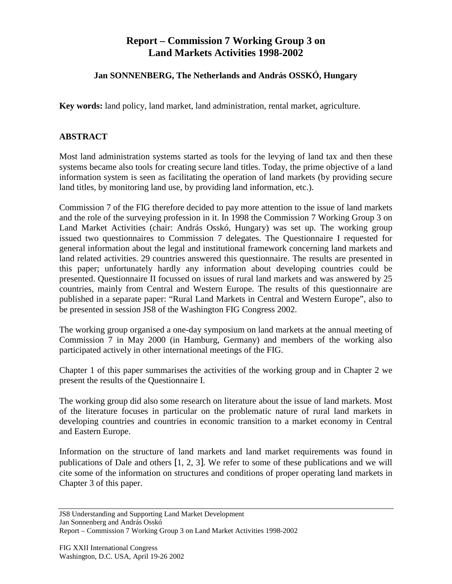## **Report – Commission 7 Working Group 3 on Land Markets Activities 1998-2002**

## **Jan SONNENBERG, The Netherlands and András OSSKÓ, Hungary**

**Key words:** land policy, land market, land administration, rental market, agriculture.

## **ABSTRACT**

Most land administration systems started as tools for the levying of land tax and then these systems became also tools for creating secure land titles. Today, the prime objective of a land information system is seen as facilitating the operation of land markets (by providing secure land titles, by monitoring land use, by providing land information, etc.).

Commission 7 of the FIG therefore decided to pay more attention to the issue of land markets and the role of the surveying profession in it. In 1998 the Commission 7 Working Group 3 on Land Market Activities (chair: András Osskó, Hungary) was set up. The working group issued two questionnaires to Commission 7 delegates. The Questionnaire I requested for general information about the legal and institutional framework concerning land markets and land related activities. 29 countries answered this questionnaire. The results are presented in this paper; unfortunately hardly any information about developing countries could be presented. Questionnaire II focussed on issues of rural land markets and was answered by 25 countries, mainly from Central and Western Europe. The results of this questionnaire are published in a separate paper: "Rural Land Markets in Central and Western Europe", also to be presented in session JS8 of the Washington FIG Congress 2002.

The working group organised a one-day symposium on land markets at the annual meeting of Commission 7 in May 2000 (in Hamburg, Germany) and members of the working also participated actively in other international meetings of the FIG.

Chapter 1 of this paper summarises the activities of the working group and in Chapter 2 we present the results of the Questionnaire I.

The working group did also some research on literature about the issue of land markets. Most of the literature focuses in particular on the problematic nature of rural land markets in developing countries and countries in economic transition to a market economy in Central and Eastern Europe.

Information on the structure of land markets and land market requirements was found in publications of Dale and others [1, 2, 3]. We refer to some of these publications and we will cite some of the information on structures and conditions of proper operating land markets in Chapter 3 of this paper.